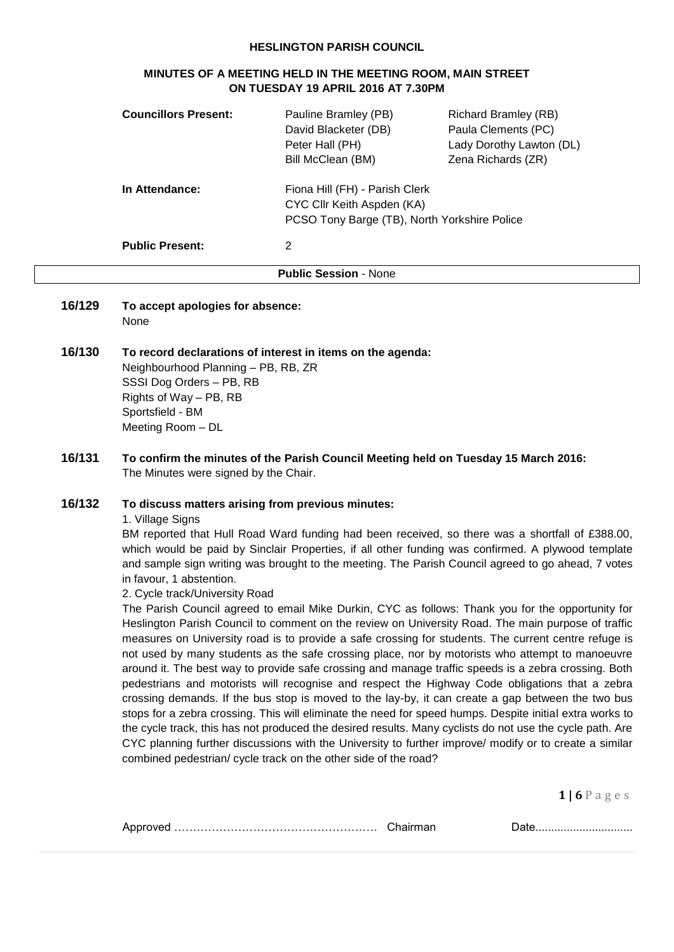#### **HESLINGTON PARISH COUNCIL**

#### **MINUTES OF A MEETING HELD IN THE MEETING ROOM, MAIN STREET ON TUESDAY 19 APRIL 2016 AT 7.30PM**

| <b>Councillors Present:</b>  | Pauline Bramley (PB)<br>David Blacketer (DB)<br>Peter Hall (PH)<br>Bill McClean (BM)                         | <b>Richard Bramley (RB)</b><br>Paula Clements (PC)<br>Lady Dorothy Lawton (DL)<br>Zena Richards (ZR) |
|------------------------------|--------------------------------------------------------------------------------------------------------------|------------------------------------------------------------------------------------------------------|
| In Attendance:               | Fiona Hill (FH) - Parish Clerk<br>CYC Cllr Keith Aspden (KA)<br>PCSO Tony Barge (TB), North Yorkshire Police |                                                                                                      |
| <b>Public Present:</b>       | 2                                                                                                            |                                                                                                      |
| <b>Public Session - None</b> |                                                                                                              |                                                                                                      |

- **16/129 To accept apologies for absence:** None
- **16/130 To record declarations of interest in items on the agenda:** Neighbourhood Planning – PB, RB, ZR SSSI Dog Orders – PB, RB Rights of Way – PB, RB Sportsfield - BM Meeting Room – DL
- **16/131 To confirm the minutes of the Parish Council Meeting held on Tuesday 15 March 2016:** The Minutes were signed by the Chair.

## **16/132 To discuss matters arising from previous minutes:**

1. Village Signs

BM reported that Hull Road Ward funding had been received, so there was a shortfall of £388.00, which would be paid by Sinclair Properties, if all other funding was confirmed. A plywood template and sample sign writing was brought to the meeting. The Parish Council agreed to go ahead, 7 votes in favour, 1 abstention.

#### 2. Cycle track/University Road

The Parish Council agreed to email Mike Durkin, CYC as follows: Thank you for the opportunity for Heslington Parish Council to comment on the review on University Road. The main purpose of traffic measures on University road is to provide a safe crossing for students. The current centre refuge is not used by many students as the safe crossing place, nor by motorists who attempt to manoeuvre around it. The best way to provide safe crossing and manage traffic speeds is a zebra crossing. Both pedestrians and motorists will recognise and respect the Highway Code obligations that a zebra crossing demands. If the bus stop is moved to the lay-by, it can create a gap between the two bus stops for a zebra crossing. This will eliminate the need for speed humps. Despite initial extra works to the cycle track, this has not produced the desired results. Many cyclists do not use the cycle path. Are CYC planning further discussions with the University to further improve/ modify or to create a similar combined pedestrian/ cycle track on the other side of the road?

| $\mathbf{v}$ |  |
|--------------|--|
|              |  |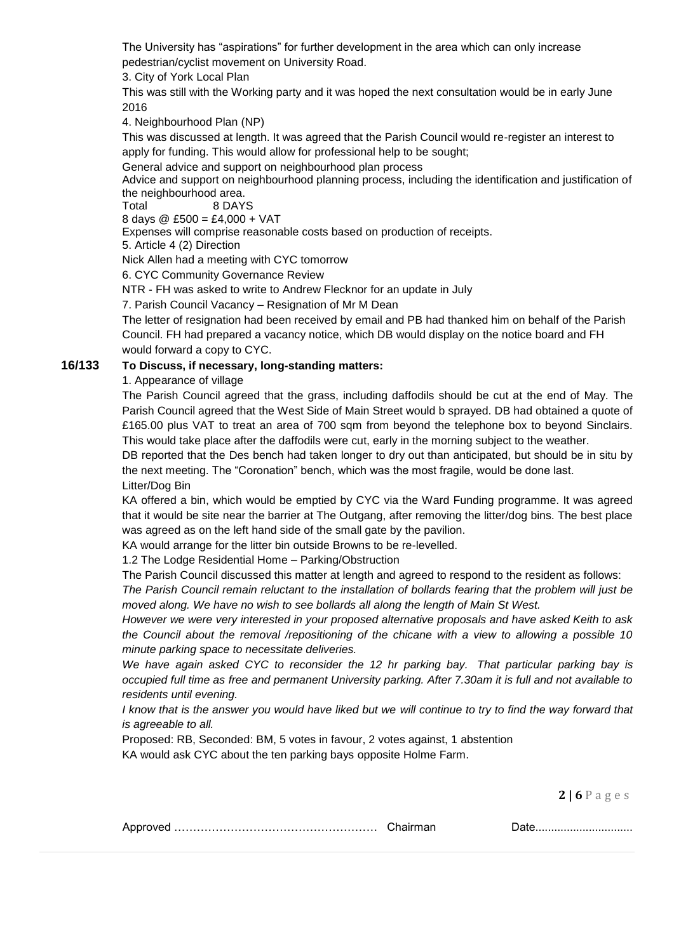The University has "aspirations" for further development in the area which can only increase pedestrian/cyclist movement on University Road.

3. City of York Local Plan

This was still with the Working party and it was hoped the next consultation would be in early June 2016

4. Neighbourhood Plan (NP)

This was discussed at length. It was agreed that the Parish Council would re-register an interest to apply for funding. This would allow for professional help to be sought;

General advice and support on neighbourhood plan process

Advice and support on neighbourhood planning process, including the identification and justification of the neighbourhood area.

Total 8 DAYS

8 days @ £500 = £4,000 + VAT

Expenses will comprise reasonable costs based on production of receipts.

5. Article 4 (2) Direction

Nick Allen had a meeting with CYC tomorrow

6. CYC Community Governance Review

NTR - FH was asked to write to Andrew Flecknor for an update in July

7. Parish Council Vacancy – Resignation of Mr M Dean

The letter of resignation had been received by email and PB had thanked him on behalf of the Parish Council. FH had prepared a vacancy notice, which DB would display on the notice board and FH would forward a copy to CYC.

## **16/133 To Discuss, if necessary, long-standing matters:**

1. Appearance of village

The Parish Council agreed that the grass, including daffodils should be cut at the end of May. The Parish Council agreed that the West Side of Main Street would b sprayed. DB had obtained a quote of £165.00 plus VAT to treat an area of 700 sqm from beyond the telephone box to beyond Sinclairs. This would take place after the daffodils were cut, early in the morning subject to the weather.

DB reported that the Des bench had taken longer to dry out than anticipated, but should be in situ by the next meeting. The "Coronation" bench, which was the most fragile, would be done last. Litter/Dog Bin

KA offered a bin, which would be emptied by CYC via the Ward Funding programme. It was agreed that it would be site near the barrier at The Outgang, after removing the litter/dog bins. The best place was agreed as on the left hand side of the small gate by the pavilion.

KA would arrange for the litter bin outside Browns to be re-levelled.

1.2 The Lodge Residential Home – Parking/Obstruction

The Parish Council discussed this matter at length and agreed to respond to the resident as follows:

*The Parish Council remain reluctant to the installation of bollards fearing that the problem will just be moved along. We have no wish to see bollards all along the length of Main St West.*

*However we were very interested in your proposed alternative proposals and have asked Keith to ask the Council about the removal /repositioning of the chicane with a view to allowing a possible 10 minute parking space to necessitate deliveries.*

*We have again asked CYC to reconsider the 12 hr parking bay. That particular parking bay is occupied full time as free and permanent University parking. After 7.30am it is full and not available to residents until evening.*

*I know that is the answer you would have liked but we will continue to try to find the way forward that is agreeable to all.*

Proposed: RB, Seconded: BM, 5 votes in favour, 2 votes against, 1 abstention KA would ask CYC about the ten parking bays opposite Holme Farm.

|--|--|--|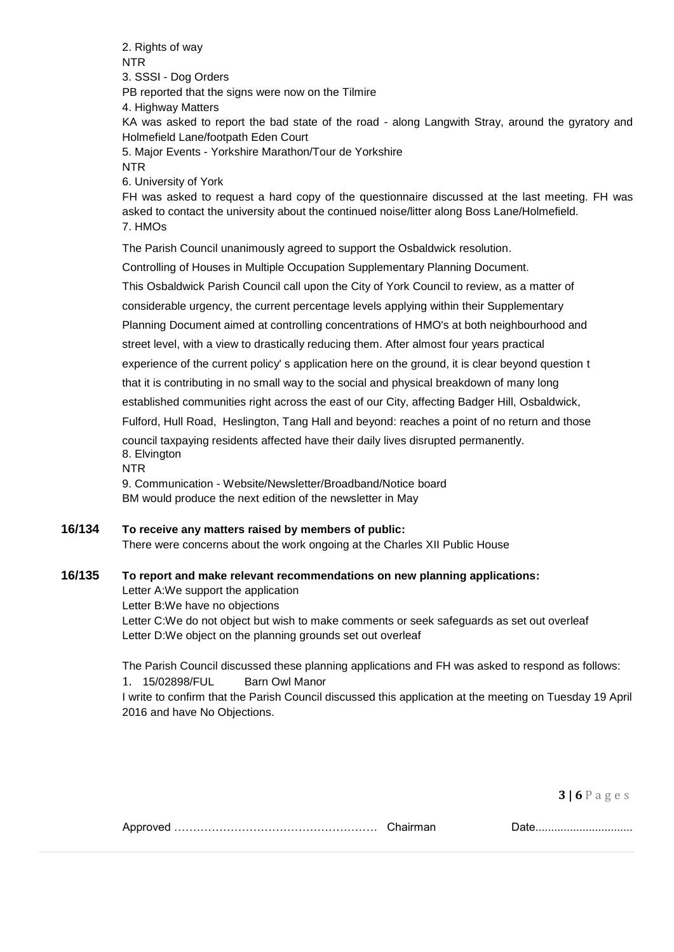2. Rights of way NTR 3. SSSI - Dog Orders PB reported that the signs were now on the Tilmire 4. Highway Matters KA was asked to report the bad state of the road - along Langwith Stray, around the gyratory and Holmefield Lane/footpath Eden Court 5. Major Events - Yorkshire Marathon/Tour de Yorkshire NTR 6. University of York FH was asked to request a hard copy of the questionnaire discussed at the last meeting. FH was asked to contact the university about the continued noise/litter along Boss Lane/Holmefield. 7. HMOs The Parish Council unanimously agreed to support the Osbaldwick resolution. Controlling of Houses in Multiple Occupation Supplementary Planning Document. This Osbaldwick Parish Council call upon the City of York Council to review, as a matter of considerable urgency, the current percentage levels applying within their Supplementary Planning Document aimed at controlling concentrations of HMO's at both neighbourhood and street level, with a view to drastically reducing them. After almost four years practical experience of the current policy' s application here on the ground, it is clear beyond question t that it is contributing in no small way to the social and physical breakdown of many long established communities right across the east of our City, affecting Badger Hill, Osbaldwick, Fulford, Hull Road, Heslington, Tang Hall and beyond: reaches a point of no return and those council taxpaying residents affected have their daily lives disrupted permanently. 8. Elvington NTR 9. Communication - Website/Newsletter/Broadband/Notice board BM would produce the next edition of the newsletter in May

# **16/134 To receive any matters raised by members of public:**

There were concerns about the work ongoing at the Charles XII Public House

# **16/135 To report and make relevant recommendations on new planning applications:**

Letter A:We support the application Letter B:We have no objections Letter C:We do not object but wish to make comments or seek safeguards as set out overleaf Letter D:We object on the planning grounds set out overleaf

The Parish Council discussed these planning applications and FH was asked to respond as follows:

#### 1. 15/02898/FUL Barn Owl Manor

I write to confirm that the Parish Council discussed this application at the meeting on Tuesday 19 April 2016 and have No Objections.

|--|--|--|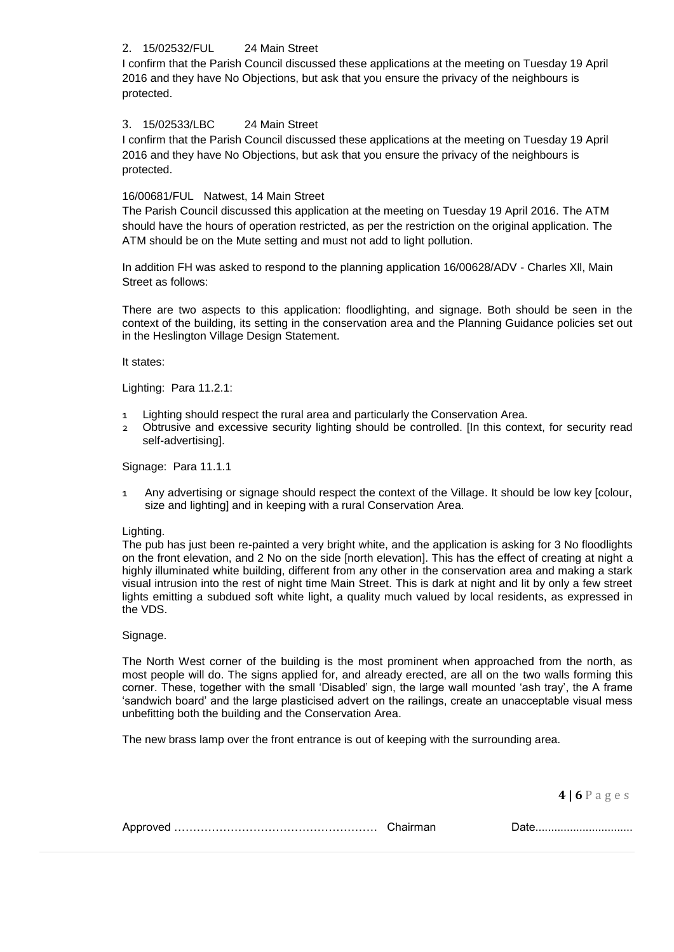## 2. 15/02532/FUL 24 Main Street

I confirm that the Parish Council discussed these applications at the meeting on Tuesday 19 April 2016 and they have No Objections, but ask that you ensure the privacy of the neighbours is protected.

### 3. 15/02533/LBC 24 Main Street

I confirm that the Parish Council discussed these applications at the meeting on Tuesday 19 April 2016 and they have No Objections, but ask that you ensure the privacy of the neighbours is protected.

### 16/00681/FUL Natwest, 14 Main Street

The Parish Council discussed this application at the meeting on Tuesday 19 April 2016. The ATM should have the hours of operation restricted, as per the restriction on the original application. The ATM should be on the Mute setting and must not add to light pollution.

In addition FH was asked to respond to the planning application 16/00628/ADV - Charles Xll, Main Street as follows:

There are two aspects to this application: floodlighting, and signage. Both should be seen in the context of the building, its setting in the conservation area and the Planning Guidance policies set out in the Heslington Village Design Statement.

It states:

Lighting: Para 11.2.1:

- Lighting should respect the rural area and particularly the Conservation Area.
- 2 Obtrusive and excessive security lighting should be controlled. [In this context, for security read self-advertising].

Signage: Para 11.1.1

1 Any advertising or signage should respect the context of the Village. It should be low key [colour, size and lighting] and in keeping with a rural Conservation Area.

#### Lighting.

The pub has just been re-painted a very bright white, and the application is asking for 3 No floodlights on the front elevation, and 2 No on the side [north elevation]. This has the effect of creating at night a highly illuminated white building, different from any other in the conservation area and making a stark visual intrusion into the rest of night time Main Street. This is dark at night and lit by only a few street lights emitting a subdued soft white light, a quality much valued by local residents, as expressed in the VDS.

#### Signage.

The North West corner of the building is the most prominent when approached from the north, as most people will do. The signs applied for, and already erected, are all on the two walls forming this corner. These, together with the small 'Disabled' sign, the large wall mounted 'ash tray', the A frame 'sandwich board' and the large plasticised advert on the railings, create an unacceptable visual mess unbefitting both the building and the Conservation Area.

The new brass lamp over the front entrance is out of keeping with the surrounding area.

|--|--|--|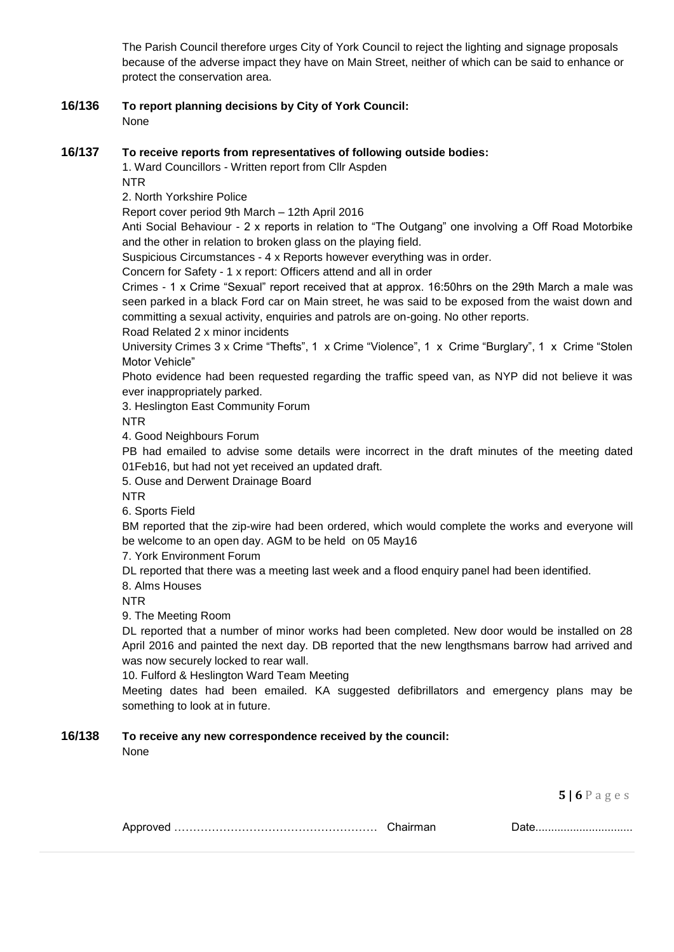The Parish Council therefore urges City of York Council to reject the lighting and signage proposals because of the adverse impact they have on Main Street, neither of which can be said to enhance or protect the conservation area.

**16/136 To report planning decisions by City of York Council:** None

## **16/137 To receive reports from representatives of following outside bodies:**

1. Ward Councillors - Written report from Cllr Aspden

NTR

2. North Yorkshire Police

Report cover period 9th March – 12th April 2016

Anti Social Behaviour - 2 x reports in relation to "The Outgang" one involving a Off Road Motorbike and the other in relation to broken glass on the playing field.

Suspicious Circumstances - 4 x Reports however everything was in order.

Concern for Safety - 1 x report: Officers attend and all in order

Crimes - 1 x Crime "Sexual" report received that at approx. 16:50hrs on the 29th March a male was seen parked in a black Ford car on Main street, he was said to be exposed from the waist down and committing a sexual activity, enquiries and patrols are on-going. No other reports.

Road Related 2 x minor incidents

University Crimes 3 x Crime "Thefts", 1 x Crime "Violence", 1 x Crime "Burglary", 1 x Crime "Stolen Motor Vehicle"

Photo evidence had been requested regarding the traffic speed van, as NYP did not believe it was ever inappropriately parked.

3. Heslington East Community Forum

NTR

4. Good Neighbours Forum

PB had emailed to advise some details were incorrect in the draft minutes of the meeting dated 01Feb16, but had not yet received an updated draft.

5. Ouse and Derwent Drainage Board

NTR

6. Sports Field

BM reported that the zip-wire had been ordered, which would complete the works and everyone will be welcome to an open day. AGM to be held on 05 May16

7. York Environment Forum

DL reported that there was a meeting last week and a flood enquiry panel had been identified.

8. Alms Houses

NTR

9. The Meeting Room

DL reported that a number of minor works had been completed. New door would be installed on 28 April 2016 and painted the next day. DB reported that the new lengthsmans barrow had arrived and was now securely locked to rear wall.

10. Fulford & Heslington Ward Team Meeting

Meeting dates had been emailed. KA suggested defibrillators and emergency plans may be something to look at in future.

# **16/138 To receive any new correspondence received by the council:**

None

|--|--|--|